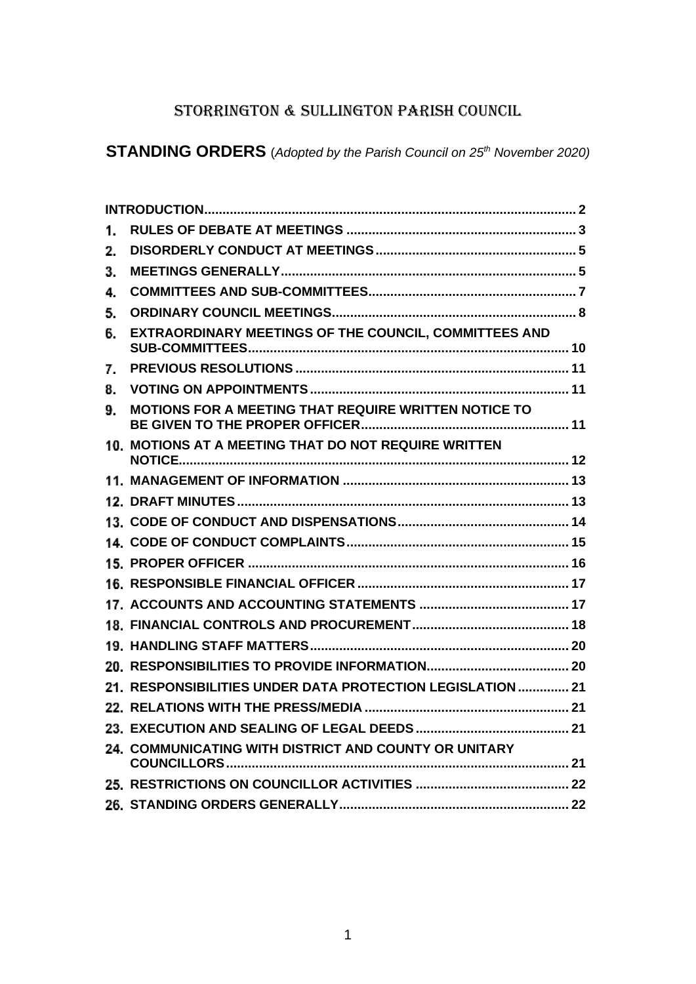# STORRINGTON & SULLINGTON PARISH COUNCIL

**STANDING ORDERS** (*Adopted by the Parish Council on 25th November 2020)*

| 1. |                                                            |  |
|----|------------------------------------------------------------|--|
| 2. |                                                            |  |
| З. |                                                            |  |
| 4. |                                                            |  |
| 5. |                                                            |  |
| 6. | EXTRAORDINARY MEETINGS OF THE COUNCIL, COMMITTEES AND      |  |
| 7. |                                                            |  |
| 8. |                                                            |  |
| 9. | MOTIONS FOR A MEETING THAT REQUIRE WRITTEN NOTICE TO       |  |
|    | 10. MOTIONS AT A MEETING THAT DO NOT REQUIRE WRITTEN       |  |
|    |                                                            |  |
|    |                                                            |  |
|    |                                                            |  |
|    |                                                            |  |
|    |                                                            |  |
|    |                                                            |  |
|    |                                                            |  |
|    |                                                            |  |
|    |                                                            |  |
|    |                                                            |  |
|    | 21. RESPONSIBILITIES UNDER DATA PROTECTION LEGISLATION  21 |  |
|    |                                                            |  |
|    |                                                            |  |
|    | 24. COMMUNICATING WITH DISTRICT AND COUNTY OR UNITARY      |  |
|    |                                                            |  |
|    |                                                            |  |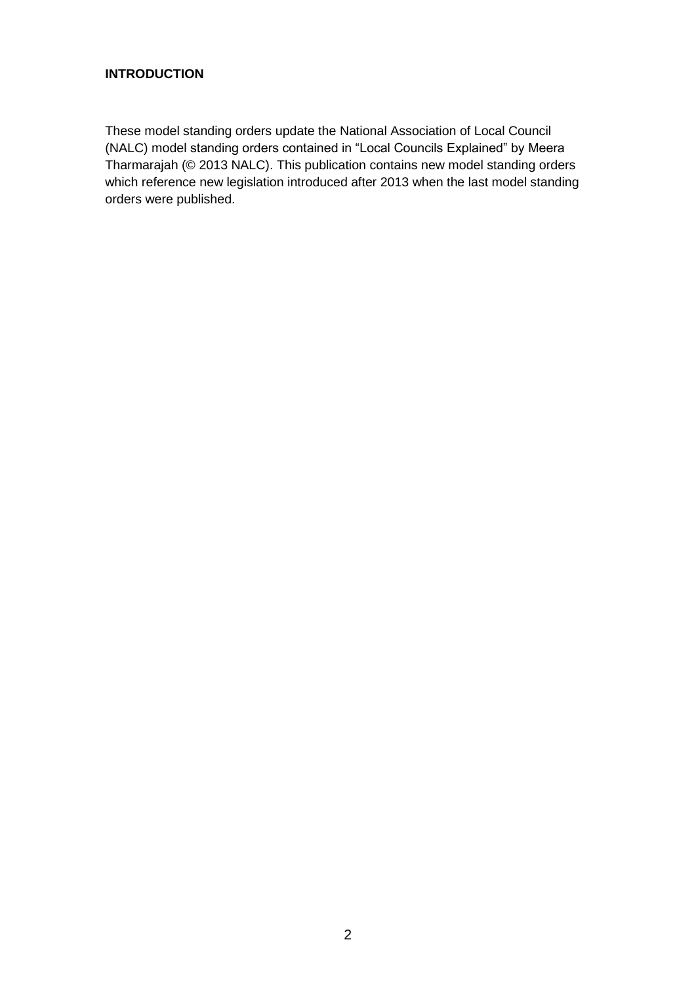# <span id="page-1-0"></span>**INTRODUCTION**

These model standing orders update the National Association of Local Council (NALC) model standing orders contained in "Local Councils Explained" by Meera Tharmarajah (© 2013 NALC). This publication contains new model standing orders which reference new legislation introduced after 2013 when the last model standing orders were published.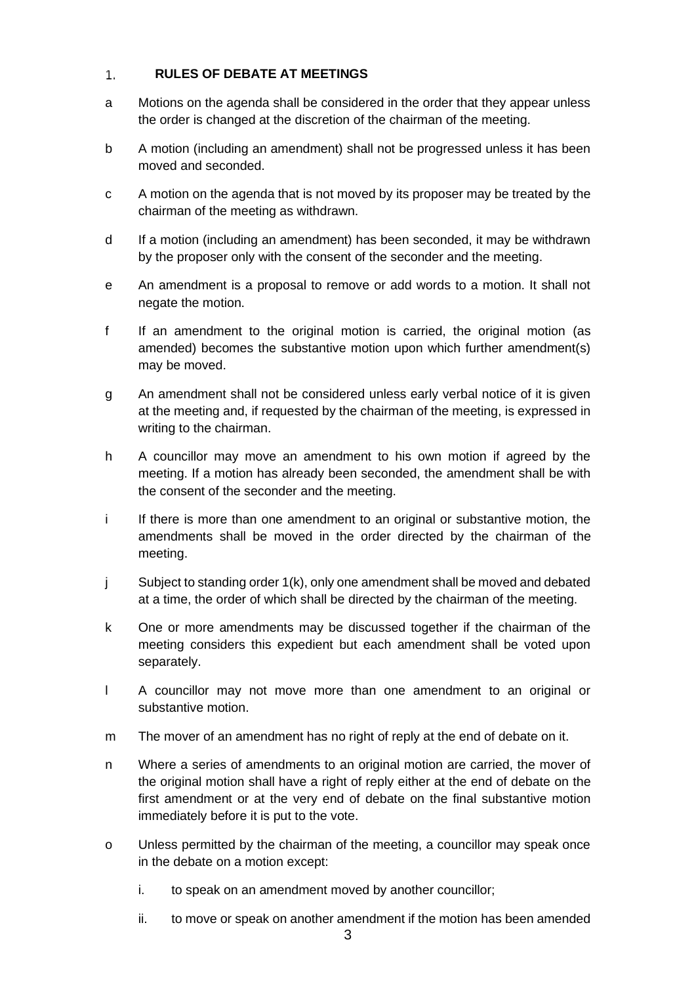### <span id="page-2-0"></span> $1.$ **RULES OF DEBATE AT MEETINGS**

- a Motions on the agenda shall be considered in the order that they appear unless the order is changed at the discretion of the chairman of the meeting.
- b A motion (including an amendment) shall not be progressed unless it has been moved and seconded.
- c A motion on the agenda that is not moved by its proposer may be treated by the chairman of the meeting as withdrawn.
- d If a motion (including an amendment) has been seconded, it may be withdrawn by the proposer only with the consent of the seconder and the meeting.
- e An amendment is a proposal to remove or add words to a motion. It shall not negate the motion.
- f If an amendment to the original motion is carried, the original motion (as amended) becomes the substantive motion upon which further amendment(s) may be moved.
- g An amendment shall not be considered unless early verbal notice of it is given at the meeting and, if requested by the chairman of the meeting, is expressed in writing to the chairman.
- h A councillor may move an amendment to his own motion if agreed by the meeting. If a motion has already been seconded, the amendment shall be with the consent of the seconder and the meeting.
- i If there is more than one amendment to an original or substantive motion, the amendments shall be moved in the order directed by the chairman of the meeting.
- j Subject to standing order 1(k), only one amendment shall be moved and debated at a time, the order of which shall be directed by the chairman of the meeting.
- k One or more amendments may be discussed together if the chairman of the meeting considers this expedient but each amendment shall be voted upon separately.
- l A councillor may not move more than one amendment to an original or substantive motion.
- m The mover of an amendment has no right of reply at the end of debate on it.
- n Where a series of amendments to an original motion are carried, the mover of the original motion shall have a right of reply either at the end of debate on the first amendment or at the very end of debate on the final substantive motion immediately before it is put to the vote.
- o Unless permitted by the chairman of the meeting, a councillor may speak once in the debate on a motion except:
	- i. to speak on an amendment moved by another councillor;
	- ii. to move or speak on another amendment if the motion has been amended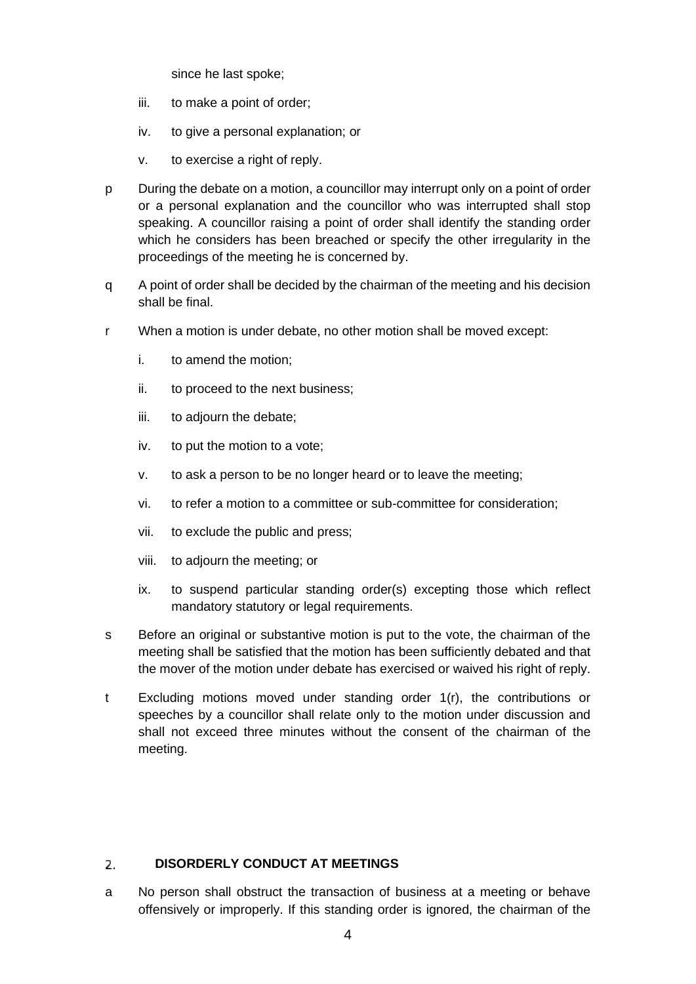since he last spoke;

- iii. to make a point of order;
- iv. to give a personal explanation; or
- v. to exercise a right of reply.
- p During the debate on a motion, a councillor may interrupt only on a point of order or a personal explanation and the councillor who was interrupted shall stop speaking. A councillor raising a point of order shall identify the standing order which he considers has been breached or specify the other irregularity in the proceedings of the meeting he is concerned by.
- q A point of order shall be decided by the chairman of the meeting and his decision shall be final.
- r When a motion is under debate, no other motion shall be moved except:
	- i. to amend the motion;
	- ii. to proceed to the next business;
	- iii. to adjourn the debate;
	- iv. to put the motion to a vote;
	- v. to ask a person to be no longer heard or to leave the meeting;
	- vi. to refer a motion to a committee or sub-committee for consideration;
	- vii. to exclude the public and press;
	- viii. to adjourn the meeting; or
	- ix. to suspend particular standing order(s) excepting those which reflect mandatory statutory or legal requirements.
- s Before an original or substantive motion is put to the vote, the chairman of the meeting shall be satisfied that the motion has been sufficiently debated and that the mover of the motion under debate has exercised or waived his right of reply.
- t Excluding motions moved under standing order 1(r), the contributions or speeches by a councillor shall relate only to the motion under discussion and shall not exceed three minutes without the consent of the chairman of the meeting.

# <span id="page-3-0"></span>**DISORDERLY CONDUCT AT MEETINGS** 2.

a No person shall obstruct the transaction of business at a meeting or behave offensively or improperly. If this standing order is ignored, the chairman of the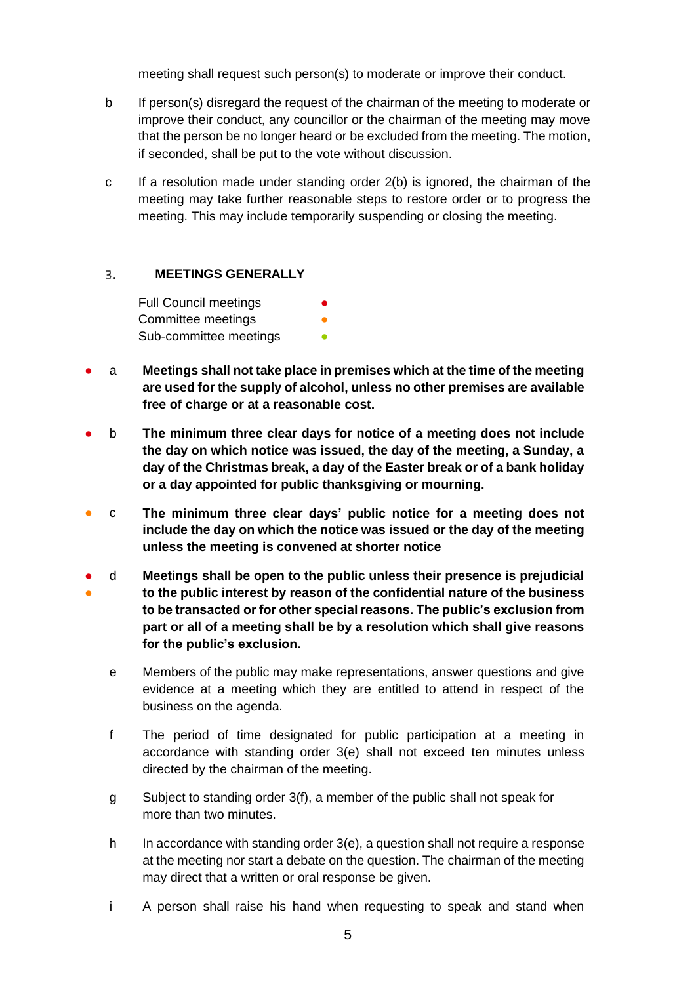meeting shall request such person(s) to moderate or improve their conduct.

- b If person(s) disregard the request of the chairman of the meeting to moderate or improve their conduct, any councillor or the chairman of the meeting may move that the person be no longer heard or be excluded from the meeting. The motion, if seconded, shall be put to the vote without discussion.
- c If a resolution made under standing order 2(b) is ignored, the chairman of the meeting may take further reasonable steps to restore order or to progress the meeting. This may include temporarily suspending or closing the meeting.

# <span id="page-4-0"></span>3. **MEETINGS GENERALLY**

**Full Council meetings** Committee meetings Sub-committee meetings **•** 

- a **Meetings shall not take place in premises which at the time of the meeting are used for the supply of alcohol, unless no other premises are available free of charge or at a reasonable cost.**
- b **The minimum three clear days for notice of a meeting does not include the day on which notice was issued, the day of the meeting, a Sunday, a day of the Christmas break, a day of the Easter break or of a bank holiday or a day appointed for public thanksgiving or mourning.**
- c **The minimum three clear days' public notice for a meeting does not include the day on which the notice was issued or the day of the meeting unless the meeting is convened at shorter notice**
- ● d **Meetings shall be open to the public unless their presence is prejudicial to the public interest by reason of the confidential nature of the business to be transacted or for other special reasons. The public's exclusion from part or all of a meeting shall be by a resolution which shall give reasons for the public's exclusion.**
	- e Members of the public may make representations, answer questions and give evidence at a meeting which they are entitled to attend in respect of the business on the agenda.
	- f The period of time designated for public participation at a meeting in accordance with standing order 3(e) shall not exceed ten minutes unless directed by the chairman of the meeting.
	- g Subject to standing order 3(f), a member of the public shall not speak for more than two minutes.
	- h In accordance with standing order 3(e), a question shall not require a response at the meeting nor start a debate on the question. The chairman of the meeting may direct that a written or oral response be given.
	- i A person shall raise his hand when requesting to speak and stand when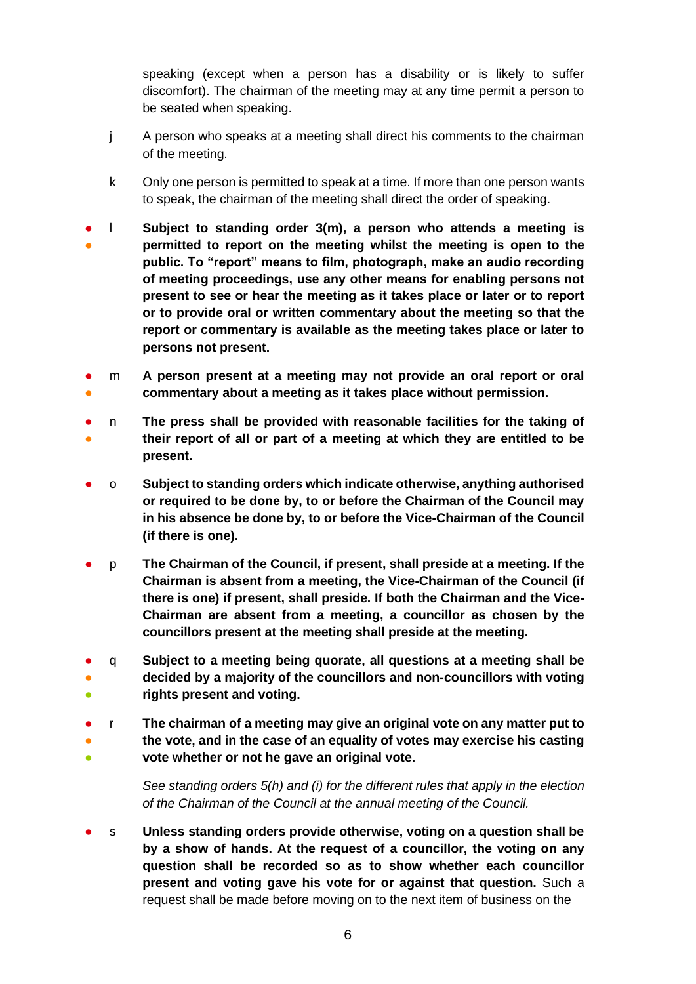speaking (except when a person has a disability or is likely to suffer discomfort). The chairman of the meeting may at any time permit a person to be seated when speaking.

- j A person who speaks at a meeting shall direct his comments to the chairman of the meeting.
- k Only one person is permitted to speak at a time. If more than one person wants to speak, the chairman of the meeting shall direct the order of speaking.
- ● l **Subject to standing order 3(m), a person who attends a meeting is permitted to report on the meeting whilst the meeting is open to the public. To "report" means to film, photograph, make an audio recording of meeting proceedings, use any other means for enabling persons not present to see or hear the meeting as it takes place or later or to report or to provide oral or written commentary about the meeting so that the report or commentary is available as the meeting takes place or later to persons not present.**
- ● m **A person present at a meeting may not provide an oral report or oral commentary about a meeting as it takes place without permission.**
- ● n **The press shall be provided with reasonable facilities for the taking of their report of all or part of a meeting at which they are entitled to be present.**
- o **Subject to standing orders which indicate otherwise, anything authorised or required to be done by, to or before the Chairman of the Council may in his absence be done by, to or before the Vice-Chairman of the Council (if there is one).**
- p **The Chairman of the Council, if present, shall preside at a meeting. If the Chairman is absent from a meeting, the Vice-Chairman of the Council (if there is one) if present, shall preside. If both the Chairman and the Vice-Chairman are absent from a meeting, a councillor as chosen by the councillors present at the meeting shall preside at the meeting.**
- ● ● q **Subject to a meeting being quorate, all questions at a meeting shall be decided by a majority of the councillors and non-councillors with voting rights present and voting.**
- ● ● r **The chairman of a meeting may give an original vote on any matter put to the vote, and in the case of an equality of votes may exercise his casting vote whether or not he gave an original vote.**

*See standing orders 5(h) and (i) for the different rules that apply in the election of the Chairman of the Council at the annual meeting of the Council.*

● s **Unless standing orders provide otherwise, voting on a question shall be by a show of hands. At the request of a councillor, the voting on any question shall be recorded so as to show whether each councillor present and voting gave his vote for or against that question.** Such a request shall be made before moving on to the next item of business on the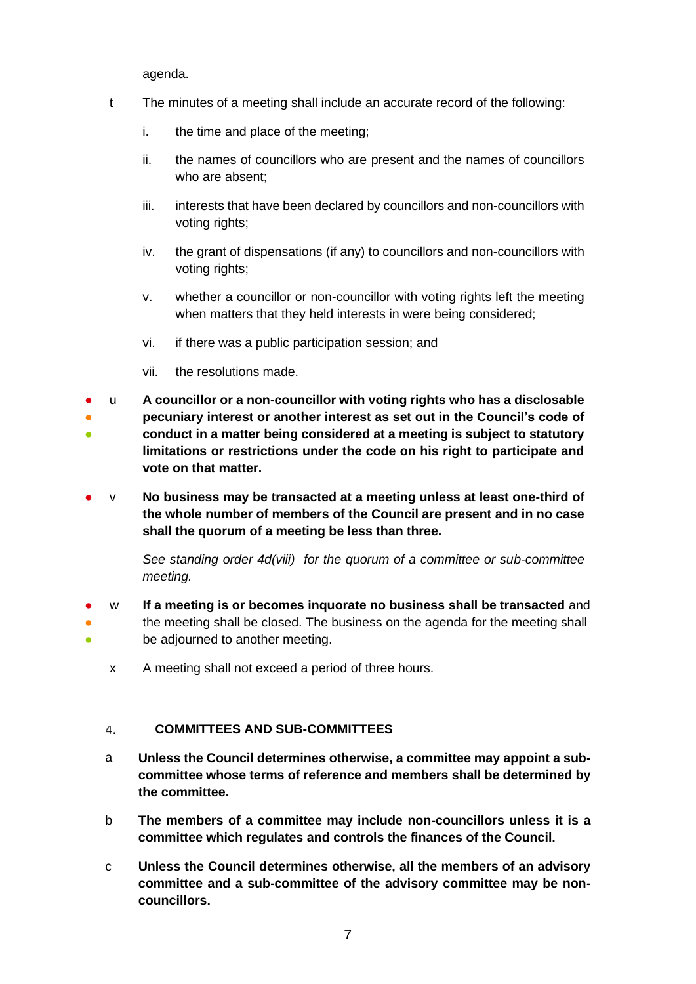agenda.

- t The minutes of a meeting shall include an accurate record of the following:
	- i. the time and place of the meeting;
	- ii. the names of councillors who are present and the names of councillors who are absent;
	- iii. interests that have been declared by councillors and non-councillors with voting rights;
	- iv. the grant of dispensations (if any) to councillors and non-councillors with voting rights;
	- v. whether a councillor or non-councillor with voting rights left the meeting when matters that they held interests in were being considered;
	- vi. if there was a public participation session; and
	- vii. the resolutions made.
- u **A councillor or a non-councillor with voting rights who has a disclosable**
- ● **pecuniary interest or another interest as set out in the Council's code of conduct in a matter being considered at a meeting is subject to statutory limitations or restrictions under the code on his right to participate and vote on that matter.**
- v **No business may be transacted at a meeting unless at least one-third of the whole number of members of the Council are present and in no case shall the quorum of a meeting be less than three.**

*See standing order 4d(viii) for the quorum of a committee or sub-committee meeting.*

- ● ● w **If a meeting is or becomes inquorate no business shall be transacted** and the meeting shall be closed. The business on the agenda for the meeting shall be adjourned to another meeting.
	- x A meeting shall not exceed a period of three hours.

# <span id="page-6-0"></span>**COMMITTEES AND SUB-COMMITTEES** 4.

- a **Unless the Council determines otherwise, a committee may appoint a subcommittee whose terms of reference and members shall be determined by the committee.**
- b **The members of a committee may include non-councillors unless it is a committee which regulates and controls the finances of the Council.**
- c **Unless the Council determines otherwise, all the members of an advisory committee and a sub-committee of the advisory committee may be noncouncillors.**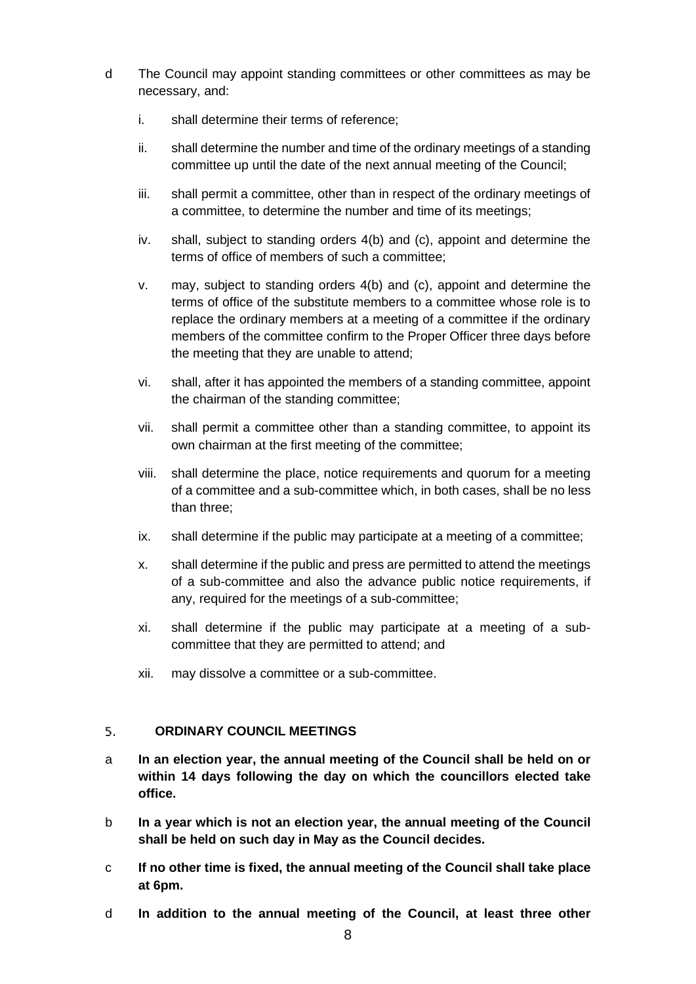- d The Council may appoint standing committees or other committees as may be necessary, and:
	- i. shall determine their terms of reference;
	- ii. shall determine the number and time of the ordinary meetings of a standing committee up until the date of the next annual meeting of the Council;
	- iii. shall permit a committee, other than in respect of the ordinary meetings of a committee, to determine the number and time of its meetings;
	- iv. shall, subject to standing orders 4(b) and (c), appoint and determine the terms of office of members of such a committee;
	- v. may, subject to standing orders 4(b) and (c), appoint and determine the terms of office of the substitute members to a committee whose role is to replace the ordinary members at a meeting of a committee if the ordinary members of the committee confirm to the Proper Officer three days before the meeting that they are unable to attend;
	- vi. shall, after it has appointed the members of a standing committee, appoint the chairman of the standing committee;
	- vii. shall permit a committee other than a standing committee, to appoint its own chairman at the first meeting of the committee;
	- viii. shall determine the place, notice requirements and quorum for a meeting of a committee and a sub-committee which, in both cases, shall be no less than three;
	- ix. shall determine if the public may participate at a meeting of a committee;
	- x. shall determine if the public and press are permitted to attend the meetings of a sub-committee and also the advance public notice requirements, if any, required for the meetings of a sub-committee;
	- xi. shall determine if the public may participate at a meeting of a subcommittee that they are permitted to attend; and
	- xii. may dissolve a committee or a sub-committee.

### <span id="page-7-0"></span>**ORDINARY COUNCIL MEETINGS**  5.

- a **In an election year, the annual meeting of the Council shall be held on or within 14 days following the day on which the councillors elected take office.**
- b **In a year which is not an election year, the annual meeting of the Council shall be held on such day in May as the Council decides.**
- c **If no other time is fixed, the annual meeting of the Council shall take place at 6pm.**
- d **In addition to the annual meeting of the Council, at least three other**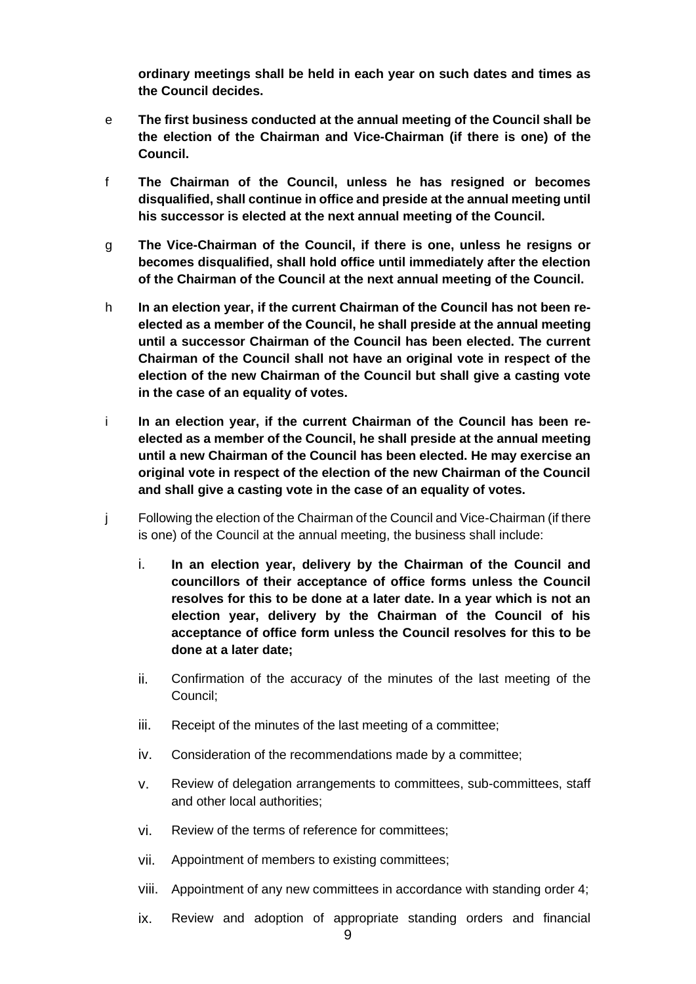**ordinary meetings shall be held in each year on such dates and times as the Council decides.**

- e **The first business conducted at the annual meeting of the Council shall be the election of the Chairman and Vice-Chairman (if there is one) of the Council.**
- f **The Chairman of the Council, unless he has resigned or becomes disqualified, shall continue in office and preside at the annual meeting until his successor is elected at the next annual meeting of the Council.**
- g **The Vice-Chairman of the Council, if there is one, unless he resigns or becomes disqualified, shall hold office until immediately after the election of the Chairman of the Council at the next annual meeting of the Council.**
- h **In an election year, if the current Chairman of the Council has not been reelected as a member of the Council, he shall preside at the annual meeting until a successor Chairman of the Council has been elected. The current Chairman of the Council shall not have an original vote in respect of the election of the new Chairman of the Council but shall give a casting vote in the case of an equality of votes.**
- i **In an election year, if the current Chairman of the Council has been reelected as a member of the Council, he shall preside at the annual meeting until a new Chairman of the Council has been elected. He may exercise an original vote in respect of the election of the new Chairman of the Council and shall give a casting vote in the case of an equality of votes.**
- j Following the election of the Chairman of the Council and Vice-Chairman (if there is one) of the Council at the annual meeting, the business shall include:
	- i. **In an election year, delivery by the Chairman of the Council and councillors of their acceptance of office forms unless the Council resolves for this to be done at a later date. In a year which is not an election year, delivery by the Chairman of the Council of his acceptance of office form unless the Council resolves for this to be done at a later date;**
	- ii. Confirmation of the accuracy of the minutes of the last meeting of the Council;
	- iii. Receipt of the minutes of the last meeting of a committee;
	- iv. Consideration of the recommendations made by a committee;
	- v. Review of delegation arrangements to committees, sub-committees, staff and other local authorities;
	- vi. Review of the terms of reference for committees;
	- vii. Appointment of members to existing committees;
	- viii. Appointment of any new committees in accordance with standing order 4;
	- ix. Review and adoption of appropriate standing orders and financial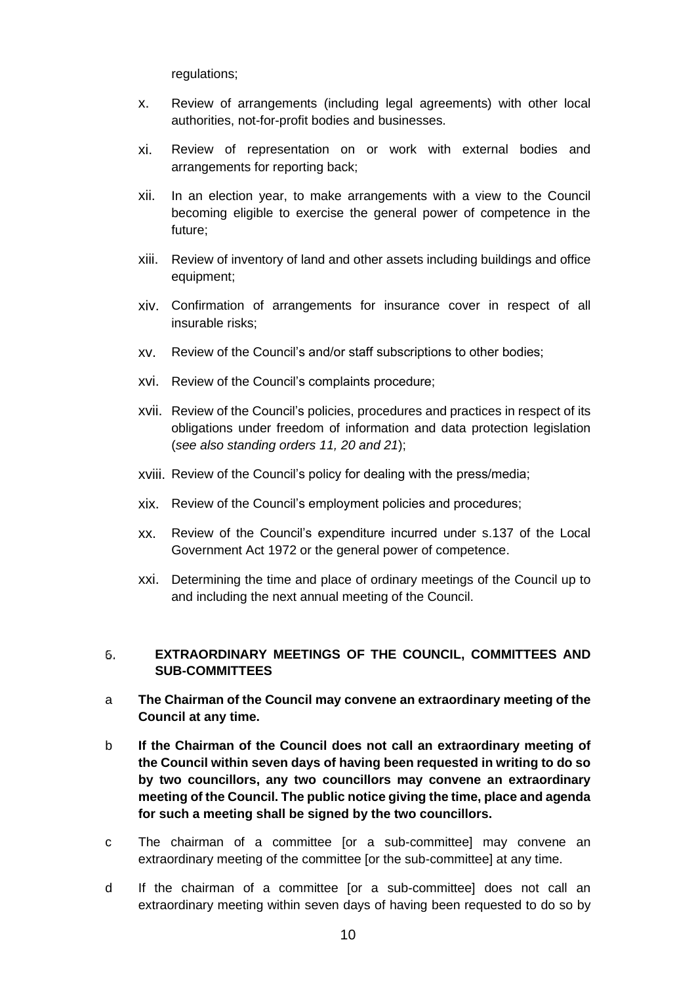regulations;

- x. Review of arrangements (including legal agreements) with other local authorities, not-for-profit bodies and businesses.
- xi. Review of representation on or work with external bodies and arrangements for reporting back;
- xii. In an election year, to make arrangements with a view to the Council becoming eligible to exercise the general power of competence in the future;
- xiii. Review of inventory of land and other assets including buildings and office equipment;
- xiv. Confirmation of arrangements for insurance cover in respect of all insurable risks;
- xv. Review of the Council's and/or staff subscriptions to other bodies;
- xvi. Review of the Council's complaints procedure;
- xvii. Review of the Council's policies, procedures and practices in respect of its obligations under freedom of information and data protection legislation (*see also standing orders 11, 20 and 21*);
- xviii. Review of the Council's policy for dealing with the press/media;
- xix. Review of the Council's employment policies and procedures;
- xx. Review of the Council's expenditure incurred under s.137 of the Local Government Act 1972 or the general power of competence.
- xxi. Determining the time and place of ordinary meetings of the Council up to and including the next annual meeting of the Council.

# <span id="page-9-0"></span>**EXTRAORDINARY MEETINGS OF THE COUNCIL, COMMITTEES AND**  б. **SUB-COMMITTEES**

- a **The Chairman of the Council may convene an extraordinary meeting of the Council at any time.**
- b **If the Chairman of the Council does not call an extraordinary meeting of the Council within seven days of having been requested in writing to do so by two councillors, any two councillors may convene an extraordinary meeting of the Council. The public notice giving the time, place and agenda for such a meeting shall be signed by the two councillors.**
- c The chairman of a committee [or a sub-committee] may convene an extraordinary meeting of the committee [or the sub-committee] at any time.
- d If the chairman of a committee [or a sub-committee] does not call an extraordinary meeting within seven days of having been requested to do so by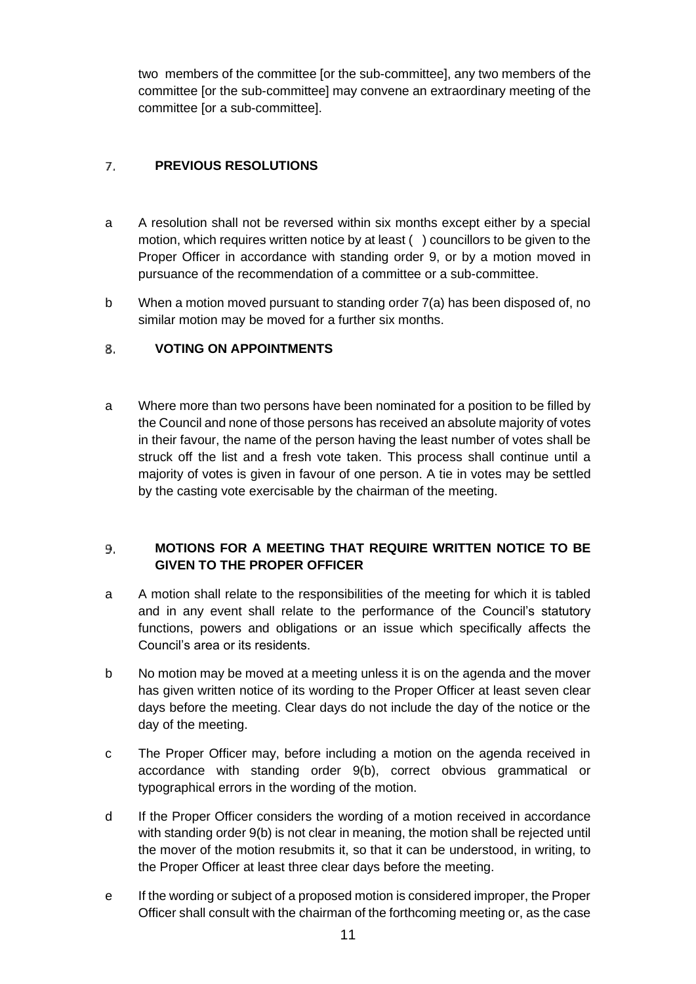two members of the committee [or the sub-committee], any two members of the committee [or the sub-committee] may convene an extraordinary meeting of the committee [or a sub-committee].

# <span id="page-10-0"></span>**PREVIOUS RESOLUTIONS** 7.

- a A resolution shall not be reversed within six months except either by a special motion, which requires written notice by at least ( ) councillors to be given to the Proper Officer in accordance with standing order 9, or by a motion moved in pursuance of the recommendation of a committee or a sub-committee.
- b When a motion moved pursuant to standing order 7(a) has been disposed of, no similar motion may be moved for a further six months.

# <span id="page-10-1"></span>**VOTING ON APPOINTMENTS** 8.

a Where more than two persons have been nominated for a position to be filled by the Council and none of those persons has received an absolute majority of votes in their favour, the name of the person having the least number of votes shall be struck off the list and a fresh vote taken. This process shall continue until a majority of votes is given in favour of one person. A tie in votes may be settled by the casting vote exercisable by the chairman of the meeting.

# <span id="page-10-2"></span>9. **MOTIONS FOR A MEETING THAT REQUIRE WRITTEN NOTICE TO BE GIVEN TO THE PROPER OFFICER**

- a A motion shall relate to the responsibilities of the meeting for which it is tabled and in any event shall relate to the performance of the Council's statutory functions, powers and obligations or an issue which specifically affects the Council's area or its residents.
- b No motion may be moved at a meeting unless it is on the agenda and the mover has given written notice of its wording to the Proper Officer at least seven clear days before the meeting. Clear days do not include the day of the notice or the day of the meeting.
- c The Proper Officer may, before including a motion on the agenda received in accordance with standing order 9(b), correct obvious grammatical or typographical errors in the wording of the motion.
- d If the Proper Officer considers the wording of a motion received in accordance with standing order 9(b) is not clear in meaning, the motion shall be rejected until the mover of the motion resubmits it, so that it can be understood, in writing, to the Proper Officer at least three clear days before the meeting.
- e If the wording or subject of a proposed motion is considered improper, the Proper Officer shall consult with the chairman of the forthcoming meeting or, as the case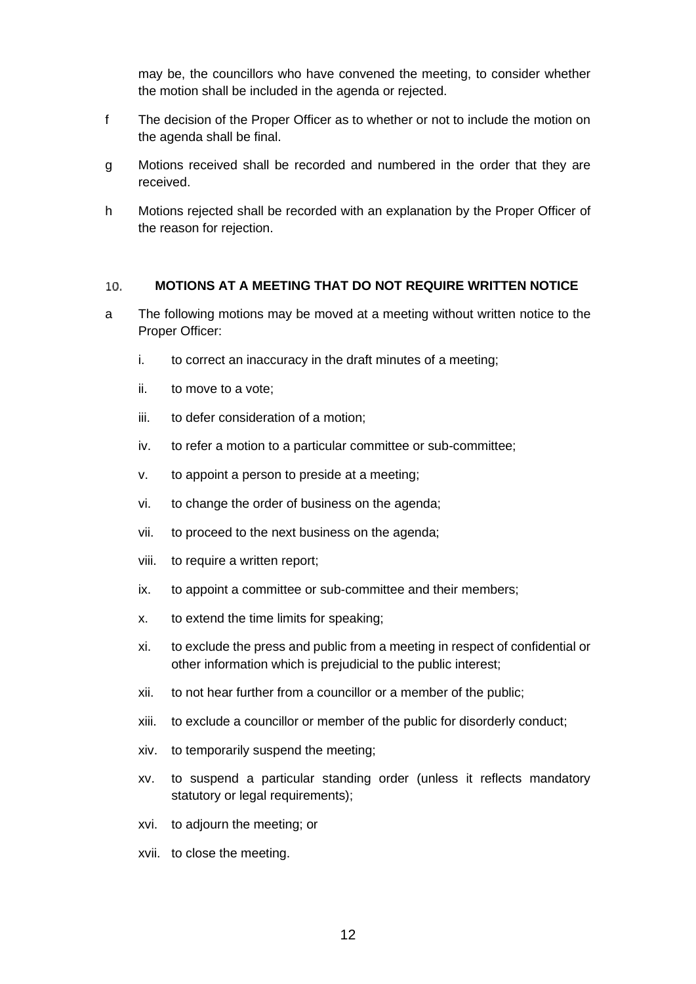may be, the councillors who have convened the meeting, to consider whether the motion shall be included in the agenda or rejected.

- f The decision of the Proper Officer as to whether or not to include the motion on the agenda shall be final.
- g Motions received shall be recorded and numbered in the order that they are received.
- h Motions rejected shall be recorded with an explanation by the Proper Officer of the reason for rejection.

#### <span id="page-11-0"></span>10. **MOTIONS AT A MEETING THAT DO NOT REQUIRE WRITTEN NOTICE**

- a The following motions may be moved at a meeting without written notice to the Proper Officer:
	- i. to correct an inaccuracy in the draft minutes of a meeting;
	- ii. to move to a vote;
	- iii. to defer consideration of a motion;
	- iv. to refer a motion to a particular committee or sub-committee;
	- v. to appoint a person to preside at a meeting;
	- vi. to change the order of business on the agenda;
	- vii. to proceed to the next business on the agenda;
	- viii. to require a written report;
	- ix. to appoint a committee or sub-committee and their members;
	- x. to extend the time limits for speaking;
	- xi. to exclude the press and public from a meeting in respect of confidential or other information which is prejudicial to the public interest;
	- xii. to not hear further from a councillor or a member of the public;
	- xiii. to exclude a councillor or member of the public for disorderly conduct;
	- xiv. to temporarily suspend the meeting;
	- xv. to suspend a particular standing order (unless it reflects mandatory statutory or legal requirements);
	- xvi. to adjourn the meeting; or
	- xvii. to close the meeting.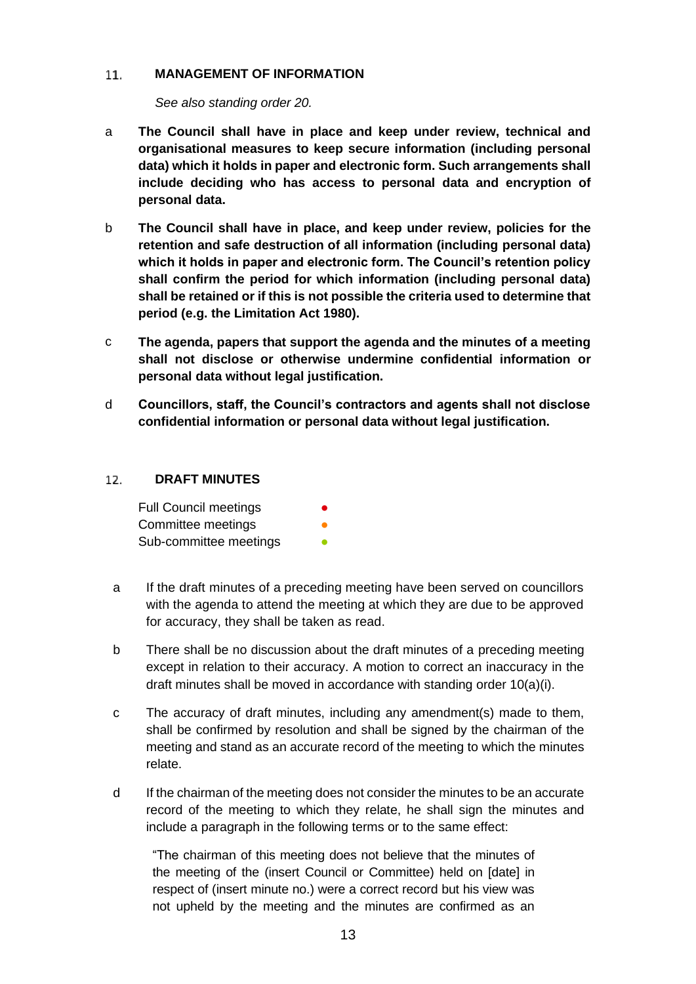#### <span id="page-12-0"></span> $11.$ **MANAGEMENT OF INFORMATION**

*See also standing order 20.*

- a **The Council shall have in place and keep under review, technical and organisational measures to keep secure information (including personal data) which it holds in paper and electronic form. Such arrangements shall include deciding who has access to personal data and encryption of personal data.**
- b **The Council shall have in place, and keep under review, policies for the retention and safe destruction of all information (including personal data) which it holds in paper and electronic form. The Council's retention policy shall confirm the period for which information (including personal data) shall be retained or if this is not possible the criteria used to determine that period (e.g. the Limitation Act 1980).**
- c **The agenda, papers that support the agenda and the minutes of a meeting shall not disclose or otherwise undermine confidential information or personal data without legal justification.**
- d **Councillors, staff, the Council's contractors and agents shall not disclose confidential information or personal data without legal justification.**

### <span id="page-12-1"></span> $12.$ **DRAFT MINUTES**

| <b>Full Council meetings</b> |  |
|------------------------------|--|
| Committee meetings           |  |
| Sub-committee meetings       |  |

- a If the draft minutes of a preceding meeting have been served on councillors with the agenda to attend the meeting at which they are due to be approved for accuracy, they shall be taken as read.
- b There shall be no discussion about the draft minutes of a preceding meeting except in relation to their accuracy. A motion to correct an inaccuracy in the draft minutes shall be moved in accordance with standing order 10(a)(i).
- c The accuracy of draft minutes, including any amendment(s) made to them, shall be confirmed by resolution and shall be signed by the chairman of the meeting and stand as an accurate record of the meeting to which the minutes relate.
- d If the chairman of the meeting does not consider the minutes to be an accurate record of the meeting to which they relate, he shall sign the minutes and include a paragraph in the following terms or to the same effect:

"The chairman of this meeting does not believe that the minutes of the meeting of the (insert Council or Committee) held on [date] in respect of (insert minute no.) were a correct record but his view was not upheld by the meeting and the minutes are confirmed as an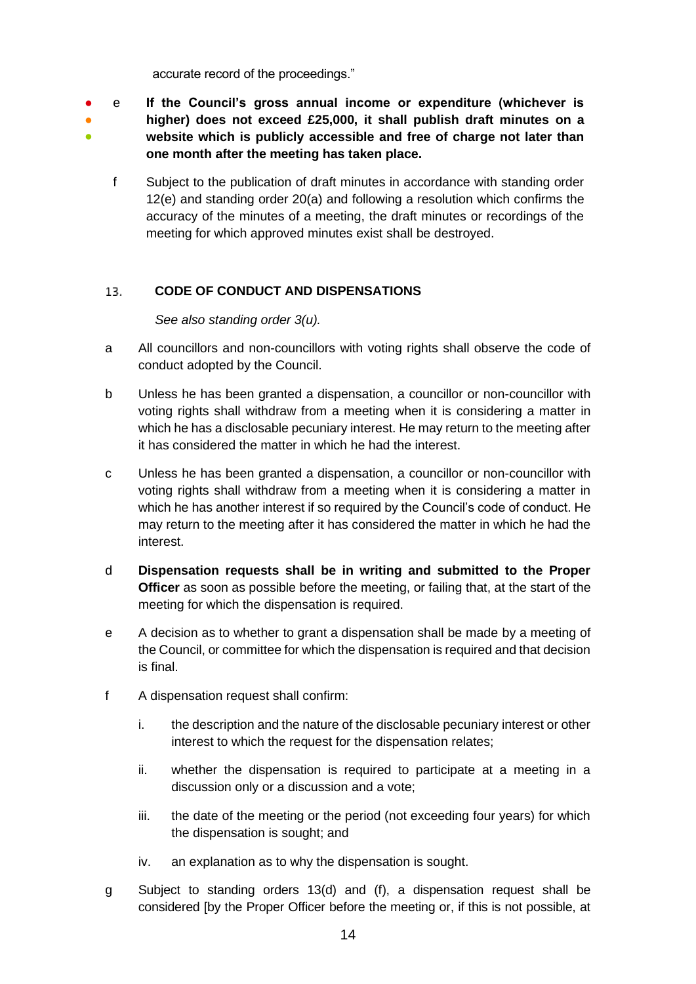accurate record of the proceedings."

- ● ● e **If the Council's gross annual income or expenditure (whichever is higher) does not exceed £25,000, it shall publish draft minutes on a website which is publicly accessible and free of charge not later than one month after the meeting has taken place.**
	- f Subject to the publication of draft minutes in accordance with standing order 12(e) and standing order 20(a) and following a resolution which confirms the accuracy of the minutes of a meeting, the draft minutes or recordings of the meeting for which approved minutes exist shall be destroyed.

# <span id="page-13-0"></span>**CODE OF CONDUCT AND DISPENSATIONS** 13.

*See also standing order 3(u).*

- a All councillors and non-councillors with voting rights shall observe the code of conduct adopted by the Council.
- b Unless he has been granted a dispensation, a councillor or non-councillor with voting rights shall withdraw from a meeting when it is considering a matter in which he has a disclosable pecuniary interest. He may return to the meeting after it has considered the matter in which he had the interest.
- c Unless he has been granted a dispensation, a councillor or non-councillor with voting rights shall withdraw from a meeting when it is considering a matter in which he has another interest if so required by the Council's code of conduct. He may return to the meeting after it has considered the matter in which he had the interest.
- d **Dispensation requests shall be in writing and submitted to the Proper Officer** as soon as possible before the meeting, or failing that, at the start of the meeting for which the dispensation is required.
- e A decision as to whether to grant a dispensation shall be made by a meeting of the Council, or committee for which the dispensation is required and that decision is final.
- f A dispensation request shall confirm:
	- i. the description and the nature of the disclosable pecuniary interest or other interest to which the request for the dispensation relates;
	- ii. whether the dispensation is required to participate at a meeting in a discussion only or a discussion and a vote;
	- iii. the date of the meeting or the period (not exceeding four years) for which the dispensation is sought; and
	- iv. an explanation as to why the dispensation is sought.
- g Subject to standing orders 13(d) and (f), a dispensation request shall be considered [by the Proper Officer before the meeting or, if this is not possible, at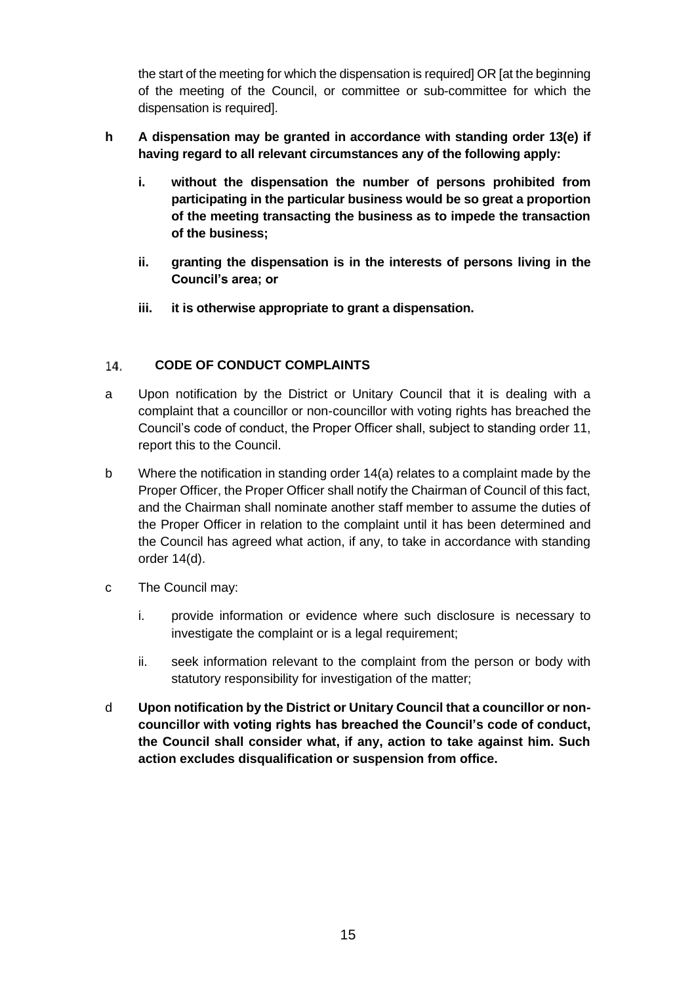the start of the meeting for which the dispensation is required] OR [at the beginning of the meeting of the Council, or committee or sub-committee for which the dispensation is required].

# **h A dispensation may be granted in accordance with standing order 13(e) if having regard to all relevant circumstances any of the following apply:**

- **i. without the dispensation the number of persons prohibited from participating in the particular business would be so great a proportion of the meeting transacting the business as to impede the transaction of the business;**
- **ii. granting the dispensation is in the interests of persons living in the Council's area; or**
- **iii. it is otherwise appropriate to grant a dispensation.**

# <span id="page-14-0"></span>14. **CODE OF CONDUCT COMPLAINTS**

- a Upon notification by the District or Unitary Council that it is dealing with a complaint that a councillor or non-councillor with voting rights has breached the Council's code of conduct, the Proper Officer shall, subject to standing order 11, report this to the Council.
- b Where the notification in standing order 14(a) relates to a complaint made by the Proper Officer, the Proper Officer shall notify the Chairman of Council of this fact, and the Chairman shall nominate another staff member to assume the duties of the Proper Officer in relation to the complaint until it has been determined and the Council has agreed what action, if any, to take in accordance with standing order 14(d).
- c The Council may:
	- i. provide information or evidence where such disclosure is necessary to investigate the complaint or is a legal requirement;
	- ii. seek information relevant to the complaint from the person or body with statutory responsibility for investigation of the matter;
- <span id="page-14-1"></span>d **Upon notification by the District or Unitary Council that a councillor or noncouncillor with voting rights has breached the Council's code of conduct, the Council shall consider what, if any, action to take against him. Such action excludes disqualification or suspension from office.**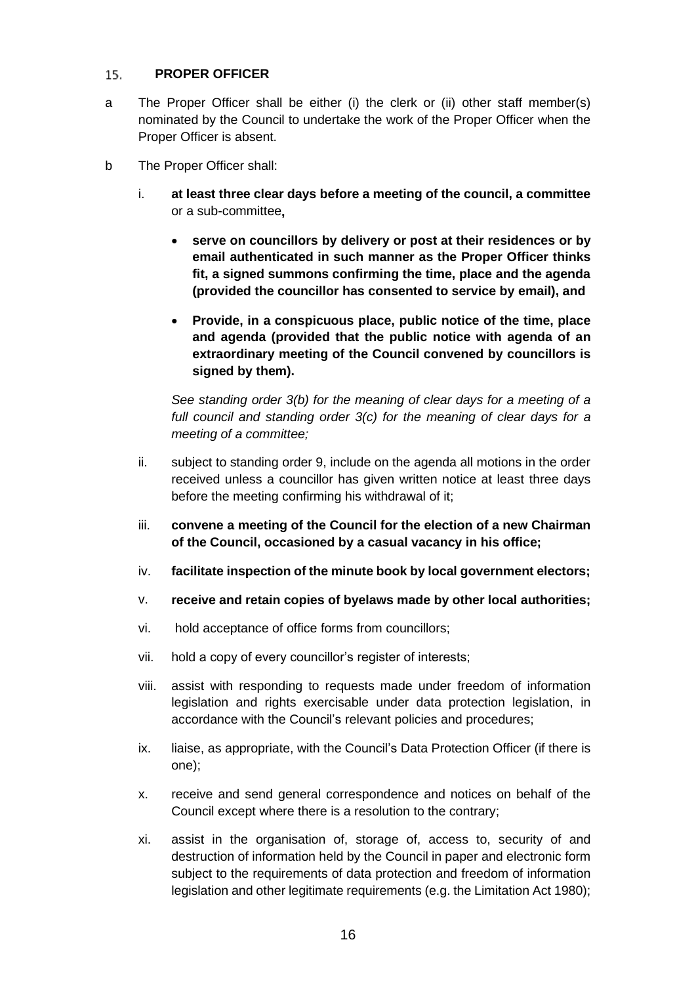### $15.$ **PROPER OFFICER**

- a The Proper Officer shall be either (i) the clerk or (ii) other staff member(s) nominated by the Council to undertake the work of the Proper Officer when the Proper Officer is absent.
- b The Proper Officer shall:
	- i. **at least three clear days before a meeting of the council, a committee**  or a sub-committee**,**
		- **serve on councillors by delivery or post at their residences or by email authenticated in such manner as the Proper Officer thinks fit, a signed summons confirming the time, place and the agenda (provided the councillor has consented to service by email), and**
		- **Provide, in a conspicuous place, public notice of the time, place and agenda (provided that the public notice with agenda of an extraordinary meeting of the Council convened by councillors is signed by them).**

*See standing order 3(b) for the meaning of clear days for a meeting of a full council and standing order 3(c) for the meaning of clear days for a meeting of a committee;*

- ii. subject to standing order 9, include on the agenda all motions in the order received unless a councillor has given written notice at least three days before the meeting confirming his withdrawal of it;
- iii. **convene a meeting of the Council for the election of a new Chairman of the Council, occasioned by a casual vacancy in his office;**
- iv. **facilitate inspection of the minute book by local government electors;**
- v. **receive and retain copies of byelaws made by other local authorities;**
- vi. hold acceptance of office forms from councillors;
- vii. hold a copy of every councillor's register of interests;
- viii. assist with responding to requests made under freedom of information legislation and rights exercisable under data protection legislation, in accordance with the Council's relevant policies and procedures;
- ix. liaise, as appropriate, with the Council's Data Protection Officer (if there is one);
- x. receive and send general correspondence and notices on behalf of the Council except where there is a resolution to the contrary;
- xi. assist in the organisation of, storage of, access to, security of and destruction of information held by the Council in paper and electronic form subject to the requirements of data protection and freedom of information legislation and other legitimate requirements (e.g. the Limitation Act 1980);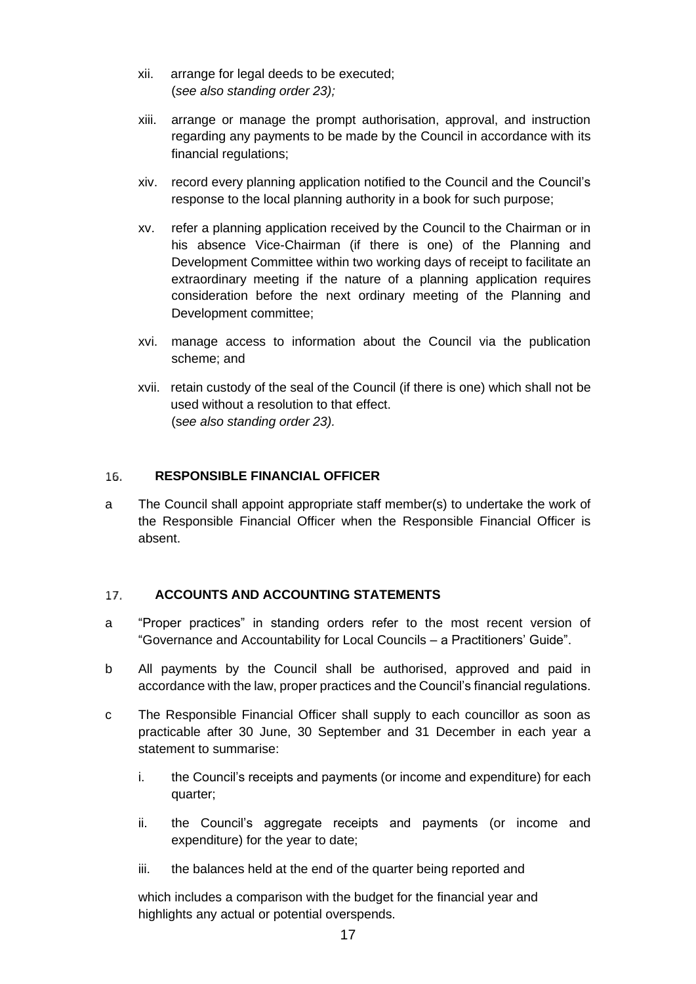- xii. arrange for legal deeds to be executed; (*see also standing order 23);*
- xiii. arrange or manage the prompt authorisation, approval, and instruction regarding any payments to be made by the Council in accordance with its financial regulations;
- xiv. record every planning application notified to the Council and the Council's response to the local planning authority in a book for such purpose;
- xv. refer a planning application received by the Council to the Chairman or in his absence Vice-Chairman (if there is one) of the Planning and Development Committee within two working days of receipt to facilitate an extraordinary meeting if the nature of a planning application requires consideration before the next ordinary meeting of the Planning and Development committee;
- xvi. manage access to information about the Council via the publication scheme; and
- xvii. retain custody of the seal of the Council (if there is one) which shall not be used without a resolution to that effect. (s*ee also standing order 23).*

### <span id="page-16-0"></span>**RESPONSIBLE FINANCIAL OFFICER**  16.

a The Council shall appoint appropriate staff member(s) to undertake the work of the Responsible Financial Officer when the Responsible Financial Officer is absent.

### <span id="page-16-1"></span>17. **ACCOUNTS AND ACCOUNTING STATEMENTS**

- a "Proper practices" in standing orders refer to the most recent version of "Governance and Accountability for Local Councils – a Practitioners' Guide".
- b All payments by the Council shall be authorised, approved and paid in accordance with the law, proper practices and the Council's financial regulations.
- c The Responsible Financial Officer shall supply to each councillor as soon as practicable after 30 June, 30 September and 31 December in each year a statement to summarise:
	- i. the Council's receipts and payments (or income and expenditure) for each quarter;
	- ii. the Council's aggregate receipts and payments (or income and expenditure) for the year to date;
	- iii. the balances held at the end of the quarter being reported and

which includes a comparison with the budget for the financial year and highlights any actual or potential overspends.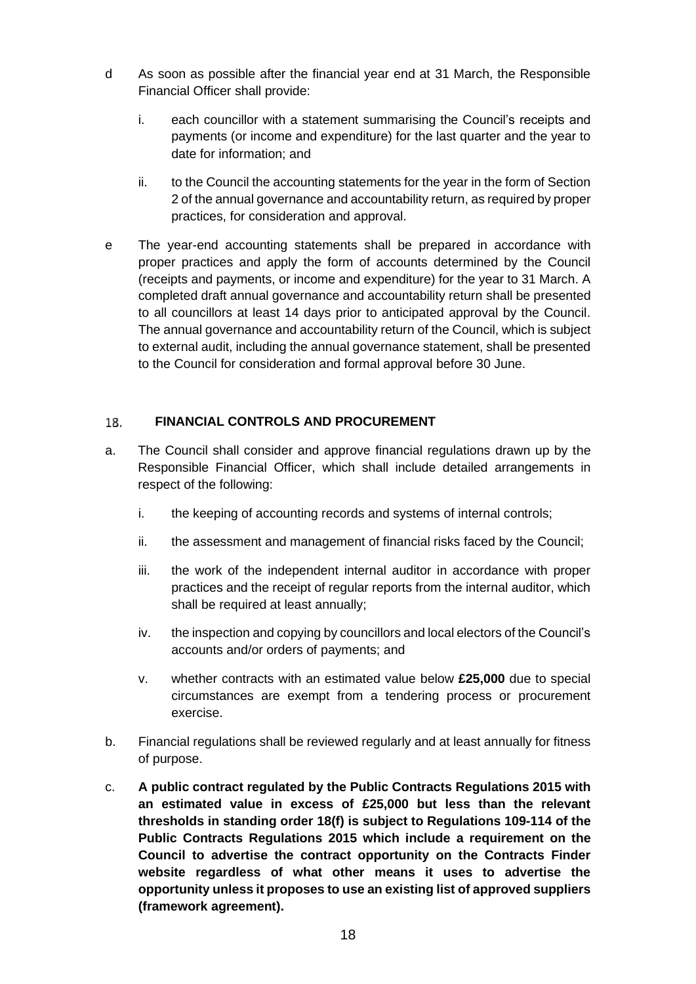- d As soon as possible after the financial year end at 31 March, the Responsible Financial Officer shall provide:
	- i. each councillor with a statement summarising the Council's receipts and payments (or income and expenditure) for the last quarter and the year to date for information; and
	- ii. to the Council the accounting statements for the year in the form of Section 2 of the annual governance and accountability return, as required by proper practices, for consideration and approval.
- e The year-end accounting statements shall be prepared in accordance with proper practices and apply the form of accounts determined by the Council (receipts and payments, or income and expenditure) for the year to 31 March. A completed draft annual governance and accountability return shall be presented to all councillors at least 14 days prior to anticipated approval by the Council. The annual governance and accountability return of the Council, which is subject to external audit, including the annual governance statement, shall be presented to the Council for consideration and formal approval before 30 June.

# <span id="page-17-0"></span>**FINANCIAL CONTROLS AND PROCUREMENT** 18.

- a. The Council shall consider and approve financial regulations drawn up by the Responsible Financial Officer, which shall include detailed arrangements in respect of the following:
	- i. the keeping of accounting records and systems of internal controls;
	- ii. the assessment and management of financial risks faced by the Council;
	- iii. the work of the independent internal auditor in accordance with proper practices and the receipt of regular reports from the internal auditor, which shall be required at least annually;
	- iv. the inspection and copying by councillors and local electors of the Council's accounts and/or orders of payments; and
	- v. whether contracts with an estimated value below **£25,000** due to special circumstances are exempt from a tendering process or procurement exercise.
- b. Financial regulations shall be reviewed regularly and at least annually for fitness of purpose.
- c. **A public contract regulated by the Public Contracts Regulations 2015 with an estimated value in excess of £25,000 but less than the relevant thresholds in standing order 18(f) is subject to Regulations 109-114 of the Public Contracts Regulations 2015 which include a requirement on the Council to advertise the contract opportunity on the Contracts Finder website regardless of what other means it uses to advertise the opportunity unless it proposes to use an existing list of approved suppliers (framework agreement).**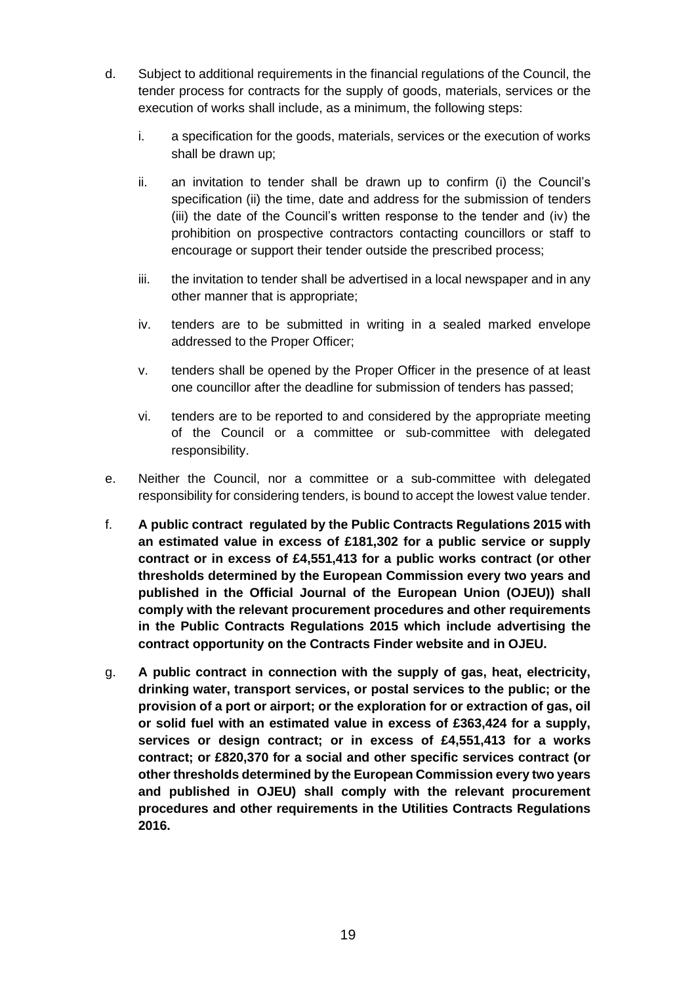- d. Subject to additional requirements in the financial regulations of the Council, the tender process for contracts for the supply of goods, materials, services or the execution of works shall include, as a minimum, the following steps:
	- i. a specification for the goods, materials, services or the execution of works shall be drawn up;
	- ii. an invitation to tender shall be drawn up to confirm (i) the Council's specification (ii) the time, date and address for the submission of tenders (iii) the date of the Council's written response to the tender and (iv) the prohibition on prospective contractors contacting councillors or staff to encourage or support their tender outside the prescribed process;
	- iii. the invitation to tender shall be advertised in a local newspaper and in any other manner that is appropriate;
	- iv. tenders are to be submitted in writing in a sealed marked envelope addressed to the Proper Officer;
	- v. tenders shall be opened by the Proper Officer in the presence of at least one councillor after the deadline for submission of tenders has passed;
	- vi. tenders are to be reported to and considered by the appropriate meeting of the Council or a committee or sub-committee with delegated responsibility.
- e. Neither the Council, nor a committee or a sub-committee with delegated responsibility for considering tenders, is bound to accept the lowest value tender.
- f. **A public contract regulated by the Public Contracts Regulations 2015 with an estimated value in excess of £181,302 for a public service or supply contract or in excess of £4,551,413 for a public works contract (or other thresholds determined by the European Commission every two years and published in the Official Journal of the European Union (OJEU)) shall comply with the relevant procurement procedures and other requirements in the Public Contracts Regulations 2015 which include advertising the contract opportunity on the Contracts Finder website and in OJEU.**
- g. **A public contract in connection with the supply of gas, heat, electricity, drinking water, transport services, or postal services to the public; or the provision of a port or airport; or the exploration for or extraction of gas, oil or solid fuel with an estimated value in excess of £363,424 for a supply, services or design contract; or in excess of £4,551,413 for a works contract; or £820,370 for a social and other specific services contract (or other thresholds determined by the European Commission every two years and published in OJEU) shall comply with the relevant procurement procedures and other requirements in the Utilities Contracts Regulations 2016.**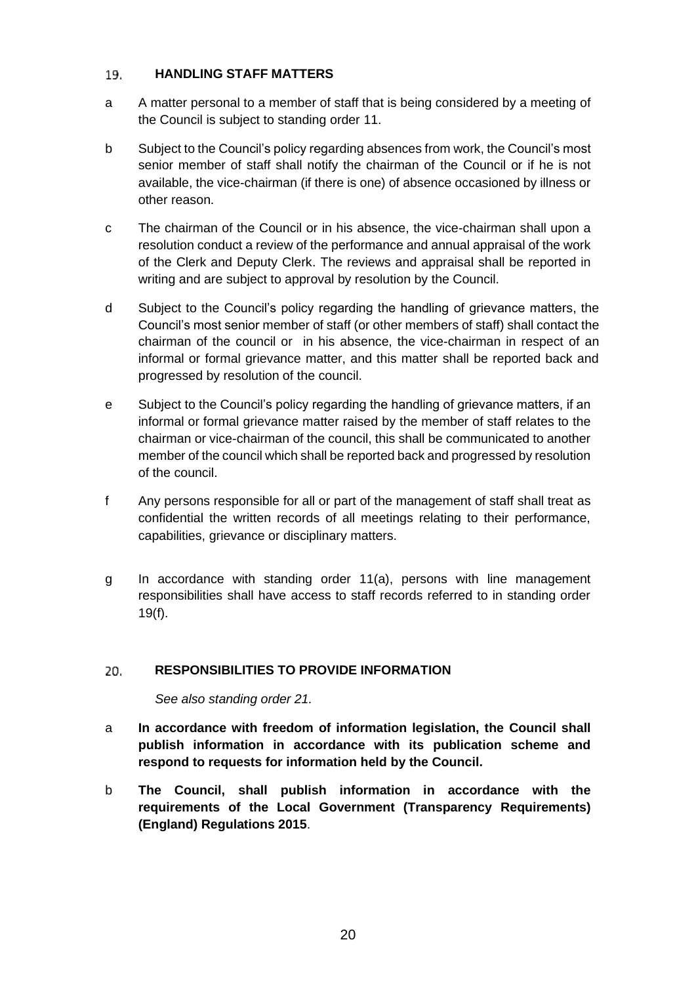### <span id="page-19-0"></span>19. **HANDLING STAFF MATTERS**

- a A matter personal to a member of staff that is being considered by a meeting of the Council is subject to standing order 11.
- b Subject to the Council's policy regarding absences from work, the Council's most senior member of staff shall notify the chairman of the Council or if he is not available, the vice-chairman (if there is one) of absence occasioned by illness or other reason.
- c The chairman of the Council or in his absence, the vice-chairman shall upon a resolution conduct a review of the performance and annual appraisal of the work of the Clerk and Deputy Clerk. The reviews and appraisal shall be reported in writing and are subject to approval by resolution by the Council.
- d Subject to the Council's policy regarding the handling of grievance matters, the Council's most senior member of staff (or other members of staff) shall contact the chairman of the council or in his absence, the vice-chairman in respect of an informal or formal grievance matter, and this matter shall be reported back and progressed by resolution of the council.
- e Subject to the Council's policy regarding the handling of grievance matters, if an informal or formal grievance matter raised by the member of staff relates to the chairman or vice-chairman of the council, this shall be communicated to another member of the council which shall be reported back and progressed by resolution of the council.
- f Any persons responsible for all or part of the management of staff shall treat as confidential the written records of all meetings relating to their performance, capabilities, grievance or disciplinary matters.
- g In accordance with standing order 11(a), persons with line management responsibilities shall have access to staff records referred to in standing order 19(f).

# <span id="page-19-1"></span>20. **RESPONSIBILITIES TO PROVIDE INFORMATION**

*See also standing order 21.*

- a **In accordance with freedom of information legislation, the Council shall publish information in accordance with its publication scheme and respond to requests for information held by the Council.**
- b **The Council, shall publish information in accordance with the requirements of the Local Government (Transparency Requirements) (England) Regulations 2015**.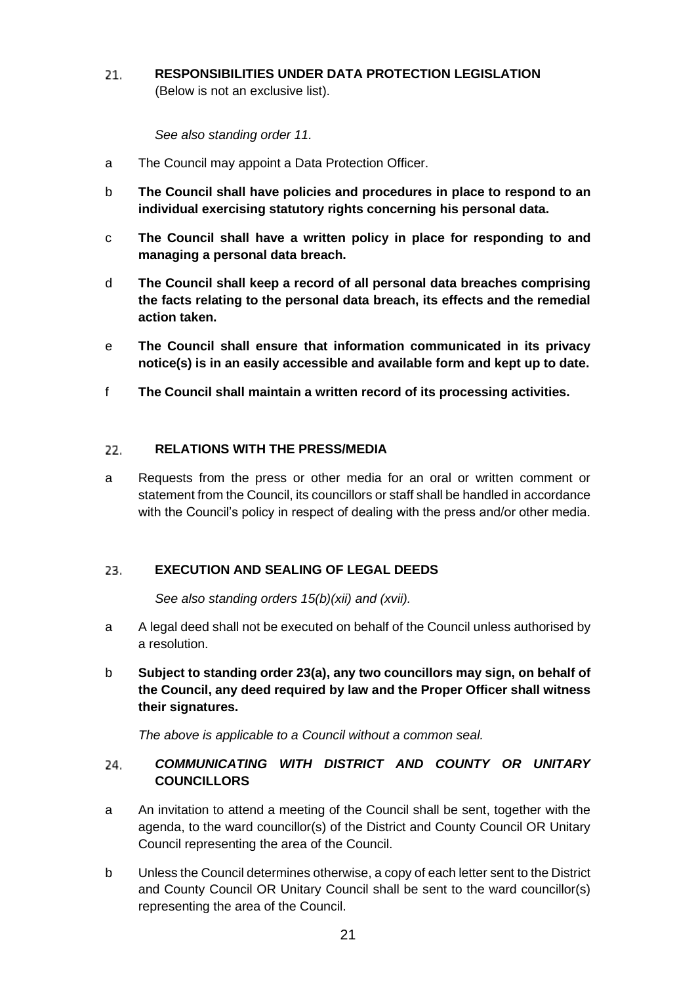<span id="page-20-0"></span>**RESPONSIBILITIES UNDER DATA PROTECTION LEGISLATION**  21. (Below is not an exclusive list).

*See also standing order 11.*

- a The Council may appoint a Data Protection Officer.
- b **The Council shall have policies and procedures in place to respond to an individual exercising statutory rights concerning his personal data.**
- c **The Council shall have a written policy in place for responding to and managing a personal data breach.**
- d **The Council shall keep a record of all personal data breaches comprising the facts relating to the personal data breach, its effects and the remedial action taken.**
- e **The Council shall ensure that information communicated in its privacy notice(s) is in an easily accessible and available form and kept up to date.**
- f **The Council shall maintain a written record of its processing activities.**

### <span id="page-20-1"></span>**RELATIONS WITH THE PRESS/MEDIA** 22.

a Requests from the press or other media for an oral or written comment or statement from the Council, its councillors or staff shall be handled in accordance with the Council's policy in respect of dealing with the press and/or other media.

### <span id="page-20-2"></span>**EXECUTION AND SEALING OF LEGAL DEEDS**  23.

*See also standing orders 15(b)(xii) and (xvii).*

- a A legal deed shall not be executed on behalf of the Council unless authorised by a resolution.
- b **Subject to standing order 23(a), any two councillors may sign, on behalf of the Council, any deed required by law and the Proper Officer shall witness their signatures.**

<span id="page-20-3"></span>*The above is applicable to a Council without a common seal.*

# *COMMUNICATING WITH DISTRICT AND COUNTY OR UNITARY* 24. **COUNCILLORS**

- a An invitation to attend a meeting of the Council shall be sent, together with the agenda, to the ward councillor(s) of the District and County Council OR Unitary Council representing the area of the Council.
- b Unless the Council determines otherwise, a copy of each letter sent to the District and County Council OR Unitary Council shall be sent to the ward councillor(s) representing the area of the Council.